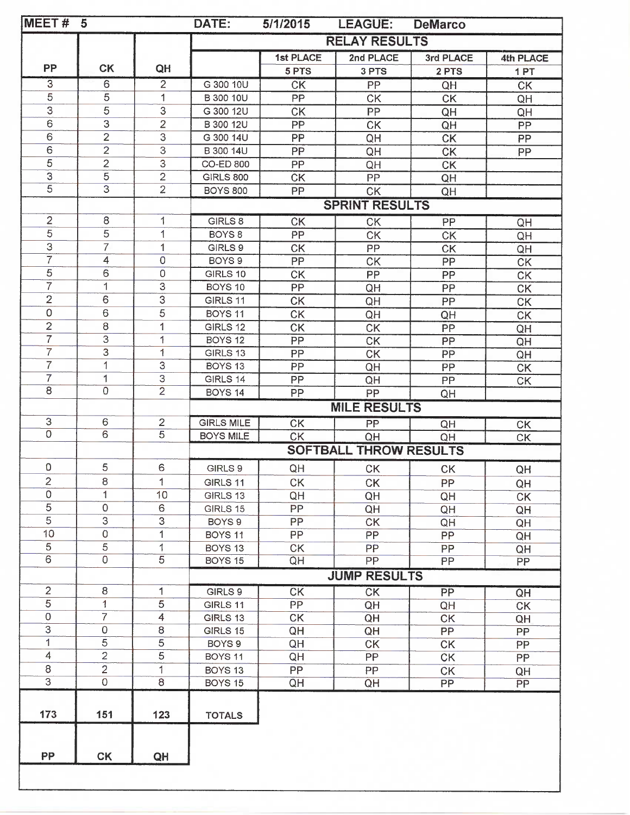| <b>MEET#</b>                     | $5\overline{)}$                  |                                | DATE:                                                                      | 5/1/2015        | <b>LEAGUE:</b><br><b>DeMarco</b> |                 |                 |  |
|----------------------------------|----------------------------------|--------------------------------|----------------------------------------------------------------------------|-----------------|----------------------------------|-----------------|-----------------|--|
|                                  |                                  |                                | <b>RELAY RESULTS</b>                                                       |                 |                                  |                 |                 |  |
|                                  |                                  |                                |                                                                            | 1st PLACE       | 2nd PLACE                        | 3rd PLACE       | 4th PLACE       |  |
| PP                               | <b>CK</b>                        | QH                             |                                                                            | 5 PTS           | 3 PTS                            | 2 PTS           | 1PT             |  |
| $\overline{3}$                   | 6                                | $\overline{2}$                 | G 300 10U                                                                  | <b>CK</b>       | PP                               | QH              | <b>CK</b>       |  |
| 5                                | $\overline{5}$                   | 1                              | B 300 10U                                                                  | PP              | <b>CK</b>                        | <b>CK</b>       | QH              |  |
| $\overline{3}$                   | $\overline{5}$                   | 3                              | G 300 12U                                                                  | <b>CK</b>       | PP                               | QH              | QH              |  |
| 6                                | $\ensuremath{\mathsf{3}}$        | $\overline{2}$                 | B 300 12U                                                                  | PP              | <b>CK</b>                        | QH              | PP              |  |
| 6                                | $\overline{2}$                   | 3                              | G 300 14U                                                                  | PP              | QH                               | <b>CK</b>       | PP              |  |
| 6                                | $\overline{2}$                   | $\overline{3}$                 | B 300 14U                                                                  | PP              | QH                               | <b>CK</b>       | PP.             |  |
| $\overline{5}$                   | $\overline{2}$                   | $\overline{3}$                 | <b>CO-ED 800</b>                                                           | PP              | QH                               | <b>CK</b>       |                 |  |
| $\overline{3}$<br>$\overline{5}$ | $\overline{5}$<br>$\overline{3}$ | $\overline{2}$                 | <b>GIRLS 800</b>                                                           | <b>CK</b>       | PP                               | QH              |                 |  |
|                                  |                                  | $\overline{2}$                 | <b>BOYS 800</b>                                                            | PP              | <b>CK</b>                        | QH              |                 |  |
|                                  |                                  |                                |                                                                            |                 | <b>SPRINT RESULTS</b>            |                 |                 |  |
| $\overline{2}$                   | 8                                | 1                              | GIRLS 8                                                                    | <b>CK</b>       | <b>CK</b>                        | PP              | QH              |  |
| 5                                | 5                                | 1                              | BOYS <sub>8</sub>                                                          | PP              | <b>CK</b>                        | <b>CK</b>       | QH              |  |
| 3                                | $\overline{7}$                   | $\mathbf{1}$                   | GIRLS 9                                                                    | <b>CK</b>       | PP                               | CK              | QH              |  |
| $\overline{7}$                   | $\overline{4}$                   | $\mathbf 0$                    | BOYS <sub>9</sub>                                                          | PP              | <b>CK</b>                        | PP              | <b>CK</b>       |  |
| $\overline{5}$                   | 6                                | $\mathsf 0$                    | GIRLS 10                                                                   | <b>CK</b>       | PP                               | PP              | CK              |  |
| $\overline{7}$                   | 1                                | $\overline{3}$                 | BOYS 10                                                                    | PP              | QH                               | PP              | CK              |  |
| $\overline{2}$                   | 6                                | $\overline{3}$                 | GIRLS 11                                                                   | <b>CK</b>       | QH                               | PP              | <b>CK</b>       |  |
| $\mathsf{O}\xspace$              | $\,6\,$                          | $\overline{5}$                 | BOYS 11                                                                    | <b>CK</b>       | QH                               | QH              | CK              |  |
| $\overline{2}$<br>$\overline{7}$ | 8                                | $\mathbf{1}$                   | GIRLS 12                                                                   | <b>CK</b>       | <b>CK</b>                        | PP              | QH              |  |
| $\overline{7}$                   | 3<br>3                           | 1                              | BOYS <sub>12</sub>                                                         | PP              | <b>CK</b>                        | PP              | QH              |  |
| $\overline{7}$                   | 1                                | 1<br>3                         | GIRLS 13<br>BOYS <sub>13</sub>                                             | PP              | CK                               | PP              | QH              |  |
| $\overline{7}$                   | 1                                | $\overline{3}$                 | GIRLS 14                                                                   | PP<br>PP        | QH                               | PP              | CK              |  |
| $\overline{8}$                   | $\overline{0}$                   | $\overline{2}$                 | BOYS <sub>14</sub>                                                         | PP              | QH<br>PP                         | PP              | <b>CK</b>       |  |
|                                  |                                  |                                |                                                                            |                 | <b>MILE RESULTS</b>              | QH              |                 |  |
| $\ensuremath{\mathsf{3}}$        | 6                                |                                |                                                                            |                 |                                  |                 |                 |  |
| $\overline{0}$                   | 6                                | $\mathbf{2}$<br>$\overline{5}$ | <b>GIRLS MILE</b>                                                          | CK              | PP                               | QH              | <b>CK</b><br>CK |  |
|                                  |                                  |                                | <b>BOYS MILE</b><br><b>CK</b><br>QH<br>QH<br><b>SOFTBALL THROW RESULTS</b> |                 |                                  |                 |                 |  |
|                                  |                                  |                                |                                                                            |                 |                                  |                 |                 |  |
| $\mathsf O$                      | 5                                | 6                              | GIRLS 9                                                                    | QH              | CK                               | <b>CK</b>       | QH              |  |
| $\overline{2}$<br>$\mathbf 0$    | 8<br>1                           | 1                              | GIRLS 11                                                                   | <b>CK</b>       | <b>CK</b>                        | PP              | QH              |  |
| $\overline{5}$                   | 0                                | 10<br>$\mathbf 6$              | GIRLS 13                                                                   | QH              | QH                               | QH              | <b>CK</b>       |  |
| $\overline{5}$                   | 3                                | 3                              | GIRLS 15<br>BOYS <sub>9</sub>                                              | PP<br>PP        | QH                               | QH              | QH              |  |
| 10                               | $\mathsf{O}\xspace$              | 1                              | <b>BOYS 11</b>                                                             | PP              | <b>CK</b><br><b>PP</b>           | QH<br><b>PP</b> | QH              |  |
| $\overline{5}$                   | 5                                | 1                              | BOYS 13                                                                    | <b>CK</b>       | PP                               | PP              | QH<br>QH        |  |
| $\overline{6}$                   | $\overline{0}$                   | $\overline{5}$                 | BOYS 15                                                                    | QH              | <b>PP</b>                        | PP              | PP              |  |
|                                  |                                  |                                | <b>JUMP RESULTS</b>                                                        |                 |                                  |                 |                 |  |
| $\overline{c}$                   | 8                                | 1                              |                                                                            |                 |                                  |                 |                 |  |
| $\overline{5}$                   | 1                                | $\sqrt{5}$                     | GIRLS 9<br>GIRLS 11                                                        | <b>CK</b><br>PP | CK<br>QH                         | PP<br>QH        | QH<br>CK        |  |
| $\mathsf 0$                      | $\overline{7}$                   | $\overline{4}$                 | GIRLS 13                                                                   | <b>CK</b>       | QH                               | <b>CK</b>       | QH              |  |
| $\ensuremath{\mathsf{3}}$        | $\mathbf 0$                      | 8                              | GIRLS 15                                                                   | QH              | QH                               | PP              | PP              |  |
| $\mathbf{1}$                     | 5                                | 5                              | BOYS <sub>9</sub>                                                          | QH              | CK                               | CK              | PP              |  |
| 4                                | $\overline{2}$                   | 5                              | BOYS 11                                                                    | QH              | PP                               | <b>CK</b>       | PP              |  |
| $\,8\,$                          | $\overline{c}$                   | 1                              | BOYS <sub>13</sub>                                                         | <b>PP</b>       | <b>PP</b>                        | <b>CK</b>       | QH              |  |
| $\overline{3}$                   | $\overline{0}$                   | $\overline{8}$                 | BOYS 15                                                                    | QH              | QH                               | PP              | $\overline{PP}$ |  |
|                                  |                                  |                                |                                                                            |                 |                                  |                 |                 |  |
| 173                              | 151                              | 123                            | <b>TOTALS</b>                                                              |                 |                                  |                 |                 |  |
|                                  |                                  |                                |                                                                            |                 |                                  |                 |                 |  |
|                                  |                                  |                                |                                                                            |                 |                                  |                 |                 |  |
| <b>PP</b>                        | <b>CK</b>                        | QH                             |                                                                            |                 |                                  |                 |                 |  |
|                                  |                                  |                                |                                                                            |                 |                                  |                 |                 |  |
|                                  |                                  |                                |                                                                            |                 |                                  |                 |                 |  |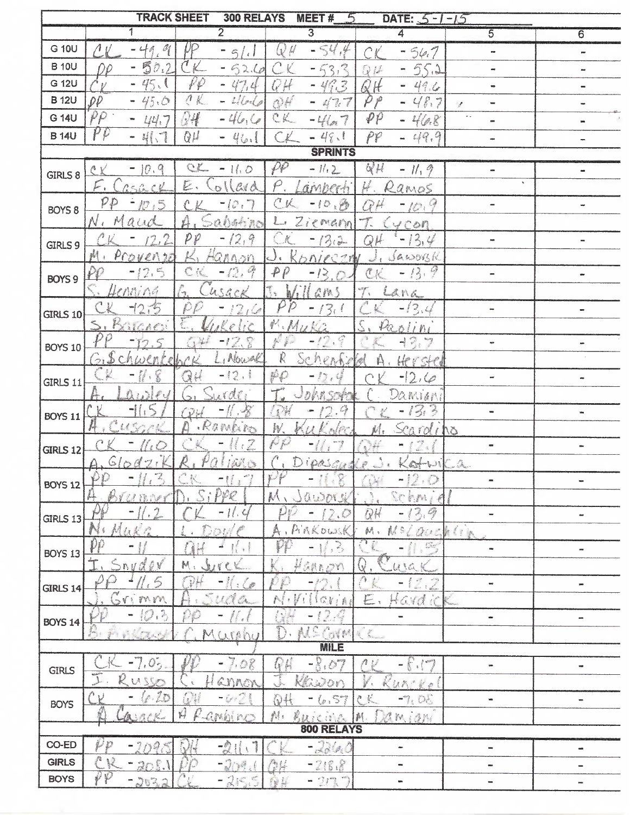|                 | <b>TRACK SHEET</b>                                                                                                                                                                                                                                                                                                                                                                                                                                             |                           | 300 RELAYS                                                                                |                                           | <b>MEET#</b>                    |                             | DATE: $5 - 1 - 15$                                             |                                                                                                                                                                                                                                                                  |                              |
|-----------------|----------------------------------------------------------------------------------------------------------------------------------------------------------------------------------------------------------------------------------------------------------------------------------------------------------------------------------------------------------------------------------------------------------------------------------------------------------------|---------------------------|-------------------------------------------------------------------------------------------|-------------------------------------------|---------------------------------|-----------------------------|----------------------------------------------------------------|------------------------------------------------------------------------------------------------------------------------------------------------------------------------------------------------------------------------------------------------------------------|------------------------------|
|                 |                                                                                                                                                                                                                                                                                                                                                                                                                                                                |                           | $\overline{2}$                                                                            |                                           | $\overline{3}$                  |                             | 4                                                              | 5                                                                                                                                                                                                                                                                | 6                            |
| G 10U           | $\mathcal{O}_{\text{R}}^{\text{I}}$<br>- 4<br>$\mathcal{A}_{\mathcal{E}}$                                                                                                                                                                                                                                                                                                                                                                                      | ŲP                        | $\mathcal{L}_{\mathfrak{I}}$<br>$\left  \cdot \right $                                    | $\mathbb{R}^2$                            | $\frac{1}{2}$                   |                             | $-54.7$                                                        | $_{\rm{no}}$                                                                                                                                                                                                                                                     | $\sim$                       |
| <b>B</b> 10U    | 5<br>0.2                                                                                                                                                                                                                                                                                                                                                                                                                                                       | K                         | $-621$                                                                                    |                                           | 3,3                             | D 1                         | 55.1                                                           |                                                                                                                                                                                                                                                                  | $\rightarrow$                |
| G 12U           | $-45.1$                                                                                                                                                                                                                                                                                                                                                                                                                                                        | PP                        | 47,4<br>m                                                                                 | $\mathcal{L}$<br>$\overline{\phantom{a}}$ | 463<br>m.                       | H                           | 49.6                                                           | $\blacksquare$                                                                                                                                                                                                                                                   | $\qquad \qquad \blacksquare$ |
| <b>B</b> 12U    | $\rho\rho$<br>$-45.0$                                                                                                                                                                                                                                                                                                                                                                                                                                          | $\Lambda$                 | L                                                                                         | OH                                        | 477                             |                             | 48.7<br>in,                                                    | $\qquad \qquad \blacksquare$<br>$\cdot$ string the string of the string of the string of the string of the string of the string of the string of the string of the string of the string of the string of the string of the string of the string of the string of | 100                          |
| G 14U           | $\rho\rho$<br>1/4, 7                                                                                                                                                                                                                                                                                                                                                                                                                                           | 24                        | $-46,$                                                                                    | CK                                        | $-46.7$                         | $\varphi \rho$              | 468<br>۰                                                       | $\sim$ .<br>$\Rightarrow$                                                                                                                                                                                                                                        | m                            |
| <b>B</b> 14U    | $\rho\rho$<br>$\begin{array}{ll} \mathbf{g} & \mathbf{g} \\ \mathbf{g} & \mathbf{g} \\ \mathbf{g} & \mathbf{g} \\ \mathbf{g} & \mathbf{g} \\ \mathbf{g} & \mathbf{g} \\ \mathbf{g} & \mathbf{g} \\ \mathbf{g} & \mathbf{g} \\ \mathbf{g} & \mathbf{g} \\ \mathbf{g} & \mathbf{g} \\ \mathbf{g} & \mathbf{g} \\ \mathbf{g} & \mathbf{g} \\ \mathbf{g} & \mathbf{g} \\ \mathbf{g} & \mathbf{g} \\ \mathbf{g} & \mathbf{g} \\ \mathbf{g} & \mathbf{g} \\ \mathbf$ | QU                        | 46.                                                                                       | $\sim$                                    | $-48.1$                         | PP                          | 49.9                                                           | œ                                                                                                                                                                                                                                                                |                              |
|                 |                                                                                                                                                                                                                                                                                                                                                                                                                                                                |                           |                                                                                           |                                           | <b>SPRINTS</b>                  |                             |                                                                |                                                                                                                                                                                                                                                                  |                              |
|                 | $-10.9$<br>ΛV                                                                                                                                                                                                                                                                                                                                                                                                                                                  | C                         | $-160$                                                                                    | $\rho\rho$                                | $-11.2$                         | $Q\mu$                      | $-11,9$                                                        | œ.                                                                                                                                                                                                                                                               | $\blacksquare$               |
| GIRLS 8         | E.<br>ASGER                                                                                                                                                                                                                                                                                                                                                                                                                                                    | E.                        | $\mathcal{C} \mathcal{A} \mathcal{C}$<br>O                                                | $\wp$                                     | amberti                         |                             | Ramos                                                          | $\mathbf{v}$                                                                                                                                                                                                                                                     |                              |
|                 | $\mathcal{P}\mathcal{P}$<br>10,5                                                                                                                                                                                                                                                                                                                                                                                                                               |                           | (0, 7)                                                                                    | $C$ , V                                   | $-10$                           | P                           | $-10.9$                                                        | $\overline{\phantom{0}}$                                                                                                                                                                                                                                         | w                            |
| BOYS 8          | N<br>N<br>Å<br>CC <sup>2</sup>                                                                                                                                                                                                                                                                                                                                                                                                                                 |                           | abstin                                                                                    | $\frac{1}{2}$                             | Ziemann                         |                             |                                                                |                                                                                                                                                                                                                                                                  |                              |
|                 |                                                                                                                                                                                                                                                                                                                                                                                                                                                                | $\mathcal{P} \mathcal{P}$ | 12.9<br>÷,                                                                                |                                           |                                 |                             | 4CO1                                                           | $\overline{\phantom{a}}$                                                                                                                                                                                                                                         |                              |
| GIRLS 9         | Provenic<br>斟                                                                                                                                                                                                                                                                                                                                                                                                                                                  |                           |                                                                                           |                                           | 13.3<br>onicent                 | QĤ                          | 13.4<br>w                                                      |                                                                                                                                                                                                                                                                  | $\blacksquare$               |
|                 | $\frac{3}{2}$<br>12.5<br>÷                                                                                                                                                                                                                                                                                                                                                                                                                                     | E.<br>$\mathcal{C}$       | Hannon<br>$-12.9$                                                                         | $\tilde{\mathbf{x}}$<br>P                 |                                 |                             | Jaworsk<br>13.9<br>$\overline{\phantom{a}}$                    |                                                                                                                                                                                                                                                                  |                              |
| <b>BOYS 9</b>   |                                                                                                                                                                                                                                                                                                                                                                                                                                                                |                           |                                                                                           |                                           | 13                              | $\mathcal{C}$ K             |                                                                | -                                                                                                                                                                                                                                                                | œ.                           |
|                 | Ienning                                                                                                                                                                                                                                                                                                                                                                                                                                                        | <b>Call</b>               | usack                                                                                     | h                                         | GPA)                            |                             | Lana                                                           |                                                                                                                                                                                                                                                                  |                              |
| <b>GIRLS 10</b> | $-12.5$                                                                                                                                                                                                                                                                                                                                                                                                                                                        |                           | $2\sqrt{2}$                                                                               | Ď                                         | $\mathcal{Z}_{\mathcal{C}}$     |                             | $-13.4$                                                        | $\overline{\phantom{a}}$                                                                                                                                                                                                                                         |                              |
|                 | WORKS                                                                                                                                                                                                                                                                                                                                                                                                                                                          |                           | $\label{eq:reduced} \mathcal{E} \left( \frac{1}{\lambda_{\text{c}}} \right)^2$<br>$e$ lic | M.M                                       | $\ell\approx 2$                 |                             | $\delta$ lini                                                  |                                                                                                                                                                                                                                                                  |                              |
| BOYS 10         | Ş                                                                                                                                                                                                                                                                                                                                                                                                                                                              | <b>A</b> Ser              | $-12.$                                                                                    |                                           | $-12.9$                         |                             | $-13.7$                                                        | up.                                                                                                                                                                                                                                                              | nm.                          |
|                 | 鬱<br>₽                                                                                                                                                                                                                                                                                                                                                                                                                                                         |                           | , Nowal                                                                                   | R                                         | Schenfie                        |                             | Herstel                                                        |                                                                                                                                                                                                                                                                  |                              |
| GIRLS 11        | ○<br><b>Harrison</b>                                                                                                                                                                                                                                                                                                                                                                                                                                           | 3H                        | $-12.1$                                                                                   | $\mathcal{P}$                             |                                 |                             | $-12,60$                                                       | me.                                                                                                                                                                                                                                                              | œ                            |
|                 |                                                                                                                                                                                                                                                                                                                                                                                                                                                                |                           | rdr.                                                                                      |                                           | nk n                            |                             | Damian                                                         |                                                                                                                                                                                                                                                                  |                              |
| <b>BOYS 11</b>  |                                                                                                                                                                                                                                                                                                                                                                                                                                                                | $\mathbb{R}^3$            | $\mathscr{L}$                                                                             | $\mathbb{R}$                              | Ç<br>J                          |                             | 13.3<br>w.                                                     | $\overline{\phantom{a}}$                                                                                                                                                                                                                                         | w,                           |
|                 |                                                                                                                                                                                                                                                                                                                                                                                                                                                                |                           | Rambin                                                                                    | W.                                        |                                 |                             | Scardino                                                       |                                                                                                                                                                                                                                                                  |                              |
| <b>GIRLS 12</b> | <b>Contract Contract Contract Contract</b>                                                                                                                                                                                                                                                                                                                                                                                                                     |                           | $\mathbb{Z}$<br>awa                                                                       | N                                         |                                 |                             | ×                                                              | $\blacksquare$                                                                                                                                                                                                                                                   | $\blacksquare$               |
|                 | $\cdot$ $\cdot$<br>$G \cup d$<br>Δ                                                                                                                                                                                                                                                                                                                                                                                                                             |                           | <b>MAR</b>                                                                                |                                           | ipas                            |                             | Katui                                                          | $\Delta$                                                                                                                                                                                                                                                         |                              |
| <b>BOYS 12</b>  | 7,                                                                                                                                                                                                                                                                                                                                                                                                                                                             |                           | $-$                                                                                       |                                           | 11.12                           | $\mathcal{G}^{\mathcal{G}}$ | -12<br>$\frac{1}{2}$                                           | $\blacksquare$                                                                                                                                                                                                                                                   | $\blacksquare$               |
|                 | U.B.N                                                                                                                                                                                                                                                                                                                                                                                                                                                          |                           | PPR                                                                                       | 趴                                         | 0.0011                          |                             | Sehm:                                                          |                                                                                                                                                                                                                                                                  |                              |
| GIRLS 13        | Ÿ                                                                                                                                                                                                                                                                                                                                                                                                                                                              |                           | $\overline{\phantom{0}}$                                                                  |                                           | Maria                           | QH                          | 2,9                                                            |                                                                                                                                                                                                                                                                  | -                            |
|                 | 红茶                                                                                                                                                                                                                                                                                                                                                                                                                                                             |                           |                                                                                           |                                           | Pinkowsk                        | 斜、                          | 自                                                              | QUERLIN                                                                                                                                                                                                                                                          |                              |
| <b>BOYS 13</b>  | Qp.                                                                                                                                                                                                                                                                                                                                                                                                                                                            | 藍                         | $\hat{\mathbf{g}}$                                                                        |                                           | $\mathbb{R}^3$                  |                             | $\mathbb{C}^{\infty}_{\infty}$<br>$\qquad \qquad \blacksquare$ | $\rightarrow$                                                                                                                                                                                                                                                    | $\mathbf{m}$                 |
|                 | $\Uparrow$<br>$\supset \hbar y$<br>a                                                                                                                                                                                                                                                                                                                                                                                                                           | 财.                        |                                                                                           |                                           | SANOY                           | Q                           | U                                                              |                                                                                                                                                                                                                                                                  |                              |
| <b>GIRLS 14</b> | <b>Collage Road</b>                                                                                                                                                                                                                                                                                                                                                                                                                                            | <b>RAN</b>                | $\mathcal{H}:\mathcal{L}$                                                                 |                                           |                                 |                             | 1.7                                                            | $\overline{\phantom{a}}$                                                                                                                                                                                                                                         | $\qquad \qquad \blacksquare$ |
|                 | mm                                                                                                                                                                                                                                                                                                                                                                                                                                                             |                           | $U_i$ ilde                                                                                |                                           | $\mathbb{C}$ l<br>$\frac{1}{2}$ | E.                          | $\sqrt{3}$<br>Hard                                             |                                                                                                                                                                                                                                                                  |                              |
| <b>BOYS 14</b>  | 10.3<br>w                                                                                                                                                                                                                                                                                                                                                                                                                                                      |                           | ll et                                                                                     |                                           | 12.9<br>₩.                      |                             | $\overline{\phantom{0}}$                                       | $\frac{1}{2}$                                                                                                                                                                                                                                                    | œ                            |
|                 | $\mathcal{L} \subset \mathcal{L} \subset \mathcal{L}$                                                                                                                                                                                                                                                                                                                                                                                                          |                           | MULTON                                                                                    | $\sum_{i=1}^{n}$                          | AIC<br>$\sqrt[n]{N}$            | $\xi$ .                     |                                                                |                                                                                                                                                                                                                                                                  |                              |
|                 |                                                                                                                                                                                                                                                                                                                                                                                                                                                                |                           |                                                                                           |                                           | <b>MILE</b>                     |                             |                                                                |                                                                                                                                                                                                                                                                  |                              |
| <b>GIRLS</b>    | $-7.05$                                                                                                                                                                                                                                                                                                                                                                                                                                                        |                           | 7.08                                                                                      | G Li                                      | $-8.07$                         |                             | $-6.17$                                                        | w                                                                                                                                                                                                                                                                | $\blacksquare$               |
|                 | KUSSO                                                                                                                                                                                                                                                                                                                                                                                                                                                          |                           | annon                                                                                     |                                           | Klason                          |                             | Runcke                                                         |                                                                                                                                                                                                                                                                  |                              |
| <b>BOYS</b>     | (c, 2)<br>V<br>$\qquad \qquad \blacksquare$                                                                                                                                                                                                                                                                                                                                                                                                                    |                           | $-i$                                                                                      | N.                                        | (0.57)                          | c <sub>k</sub>              | $-7,06$                                                        | u,                                                                                                                                                                                                                                                               | $\blacksquare$               |
|                 | S. R. C. Kong                                                                                                                                                                                                                                                                                                                                                                                                                                                  | K                         | CMOINO                                                                                    | 蜡.                                        | Ruicale.                        | 科                           | Damian                                                         |                                                                                                                                                                                                                                                                  |                              |
|                 |                                                                                                                                                                                                                                                                                                                                                                                                                                                                |                           |                                                                                           |                                           | 800 RELAYS                      |                             |                                                                |                                                                                                                                                                                                                                                                  |                              |
|                 | D<br>$-2095$                                                                                                                                                                                                                                                                                                                                                                                                                                                   |                           | $-\frac{1}{2}$<br>$\frac{3}{2}$                                                           |                                           | $-284.0$                        |                             | -                                                              | ۰                                                                                                                                                                                                                                                                | $\equiv$                     |
| CO-ED           |                                                                                                                                                                                                                                                                                                                                                                                                                                                                |                           |                                                                                           |                                           |                                 |                             |                                                                |                                                                                                                                                                                                                                                                  |                              |
| <b>GIRLS</b>    | Ĉ<br>$-205.1$<br>PP                                                                                                                                                                                                                                                                                                                                                                                                                                            |                           | $-20$                                                                                     | 高兵                                        | $-218.8$                        |                             |                                                                | we                                                                                                                                                                                                                                                               | $\blacksquare$               |